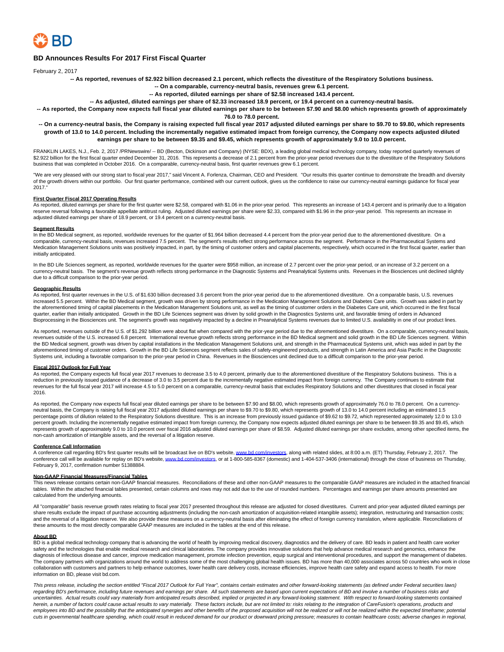

# **BD Announces Results For 2017 First Fiscal Quarter**

February 2, 2017

**-- As reported, revenues of \$2.922 billion decreased 2.1 percent, which reflects the divestiture of the Respiratory Solutions business.**

**-- On a comparable, currency-neutral basis, revenues grew 6.1 percent.**

**-- As reported, diluted earnings per share of \$2.58 increased 143.4 percent.**

**-- As adjusted, diluted earnings per share of \$2.33 increased 18.9 percent, or 19.4 percent on a currency-neutral basis.**

**-- As reported, the Company now expects full fiscal year diluted earnings per share to be between \$7.90 and \$8.00 which represents growth of approximately 76.0 to 78.0 percent.**

## **-- On a currency-neutral basis, the Company is raising expected full fiscal year 2017 adjusted diluted earnings per share to \$9.70 to \$9.80, which represents growth of 13.0 to 14.0 percent. Including the incrementally negative estimated impact from foreign currency, the Company now expects adjusted diluted earnings per share to be between \$9.35 and \$9.45, which represents growth of approximately 9.0 to 10.0 percent.**

FRANKLIN LAKES, N.J., Feb. 2, 2017 /PRNewswire/ -- BD (Becton, Dickinson and Company) (NYSE: BDX), a leading global medical technology company, today reported quarterly revenues of \$2.922 billion for the first fiscal quarter ended December 31, 2016. This represents a decrease of 2.1 percent from the prior-year period revenues due to the divestiture of the Respiratory Solutions business that was completed in October 2016. On a comparable, currency-neutral basis, first quarter revenues grew 6.1 percent.

"We are very pleased with our strong start to fiscal year 2017," said Vincent A. Forlenza, Chairman, CEO and President. "Our results this quarter continue to demonstrate the breadth and diversity of the growth drivers within our portfolio. Our first quarter performance, combined with our current outlook, gives us the confidence to raise our currency-neutral earnings guidance for fiscal year 2017.

#### **First Quarter Fiscal 2017 Operating Results**

As reported, diluted earnings per share for the first quarter were \$2.58, compared with \$1.06 in the prior-year period. This represents an increase of 143.4 percent and is primarily due to a litigation reserve reversal following a favorable appellate antitrust ruling. Adjusted diluted earnings per share were \$2.33, compared with \$1.96 in the prior-year period. This represents an increase in adjusted diluted earnings per share of 18.9 percent, or 19.4 percent on a currency-neutral basis.

#### **Segment Results**

In the BD Medical segment, as reported, worldwide revenues for the quarter of \$1.964 billion decreased 4.4 percent from the prior-year period due to the aforementioned divestiture. On a comparable, currency-neutral basis, revenues increased 7.5 percent. The segment's results reflect strong performance across the segment. Performance in the Pharmaceutical Systems and Medication Management Solutions units was positively impacted, in part, by the timing of customer orders and capital placements, respectively, which occurred in the first fiscal quarter, earlier than initially anticipated.

In the BD Life Sciences segment, as reported, worldwide revenues for the quarter were \$958 million, an increase of 2.7 percent over the prior-year period, or an increase of 3.2 percent on a currency-neutral basis. The segment's revenue growth reflects strong performance in the Diagnostic Systems and Preanalytical Systems units. Revenues in the Biosciences unit declined slightly due to a difficult comparison to the prior-year period.

## **Geographic Results**

As reported, first quarter revenues in the U.S. of \$1.630 billion decreased 3.6 percent from the prior-year period due to the aforementioned divestiture. On a comparable basis, U.S. revenues increased 5.5 percent. Within the BD Medical segment, growth was driven by strong performance in the Medication Management Solutions and Diabetes Care units. Growth was aided in part by the aforementioned timing of capital placements in the Medication Management Solutions unit, as well as the timing of customer orders in the Diabetes Care unit, which occurred in the first fiscal quarter, earlier than initially anticipated. Growth in the BD Life Sciences segment was driven by solid growth in the Diagnostics Systems unit, and favorable timing of orders in Advanced Bioprocessing in the Biosciences unit. The segment's growth was negatively impacted by a decline in Preanalytical Systems revenues due to limited U.S. availability in one of our product lines.

As reported, revenues outside of the U.S. of \$1.292 billion were about flat when compared with the prior-year period due to the aforementioned divestiture. On a comparable, currency-neutral basis, revenues outside of the U.S. increased 6.8 percent. International revenue growth reflects strong performance in the BD Medical segment and solid growth in the BD Life Sciences segment. Within the BD Medical segment, growth was driven by capital installations in the Medication Management Solutions unit, and strength in the Pharmaceutical Systems unit, which was aided in part by the aforementioned timing of customer orders. Growth in the BD Life Sciences segment reflects sales of safety-engineered products, and strength in Latin America and Asia Pacific in the Diagnostic Systems unit, including a favorable comparison to the prior-year period in China. Revenues in the Biosciences unit declined due to a difficult comparison to the prior-year period.

## **Fiscal 2017 Outlook for Full Year**

As reported, the Company expects full fiscal year 2017 revenues to decrease 3.5 to 4.0 percent, primarily due to the aforementioned divestiture of the Respiratory Solutions business. This is a reduction in previously issued guidance of a decrease of 3.0 to 3.5 percent due to the incrementally negative estimated impact from foreign currency. The Company continues to estimate that revenues for the full fiscal year 2017 will increase 4.5 to 5.0 percent on a comparable, currency-neutral basis that excludes Respiratory Solutions and other divestitures that closed in fiscal year 2016.

As reported, the Company now expects full fiscal year diluted earnings per share to be between \$7.90 and \$8.00, which represents growth of approximately 76.0 to 78.0 percent. On a currencyneutral basis, the Company is raising full fiscal year 2017 adjusted diluted earnings per share to \$9.70 to \$9.80, which represents growth of 13.0 to 14.0 percent including an estimated 1.5 percentage points of dilution related to the Respiratory Solutions divestiture. This is an increase from previously issued guidance of \$9.62 to \$9.72, which represented approximately 12.0 to 13.0 percent growth. Including the incrementally negative estimated impact from foreign currency, the Company now expects adjusted diluted earnings per share to be between \$9.35 and \$9.45, which represents growth of approximately 9.0 to 10.0 percent over fiscal 2016 adjusted diluted earnings per share diluted earnings per share excludes, among other specified items, the non-cash amortization of intangible assets, and the reversal of a litigation reserve.

### **Conference Call Information**

A conference call regarding BD's first quarter results will be broadcast live on BD's website[, www.bd.com/investors,](http://www.bd.com/investors) along with related slides, at 8:00 a.m. (ET) Thursday, February 2, 2017. The conference call will be available for replay on BD's website[, www.bd.com/investors,](http://www.bd.com/investors) or at 1-800-585-8367 (domestic) and 1-404-537-3406 (international) through the close of business on Thursday, February 9, 2017, confirmation number 51388884.

#### **Non-GAAP Financial Measures/Financial Tables**

This news release contains certain non-GAAP financial measures. Reconciliations of these and other non-GAAP measures to the comparable GAAP measures are included in the attached financial tables. Within the attached financial tables presented, certain columns and rows may not add due to the use of rounded numbers. Percentages and earnings per share amounts presented are calculated from the underlying amounts.

All "comparable" basis revenue growth rates relating to fiscal year 2017 presented throughout this release are adjusted for closed divestitures. Current and prior-year adjusted diluted earnings per share results exclude the impact of purchase accounting adjustments (including the non-cash amortization of acquisition-related intangible assets); integration, restructuring and transaction costs; and the reversal of a litigation reserve. We also provide these measures on a currency-neutral basis after eliminating the effect of foreign currency translation, where applicable. Reconciliations of these amounts to the most directly comparable GAAP measures are included in the tables at the end of this release.

#### **About BD**

BD is a global medical technology company that is advancing the world of health by improving medical discovery, diagnostics and the delivery of care. BD leads in patient and health care worker safety and the technologies that enable medical research and clinical laboratories. The company provides innovative solutions that help advance medical research and genomics, enhance the diagnosis of infectious disease and cancer, improve medication management, promote infection prevention, equip surgical and interventional procedures, and support the management of diabetes. The company partners with organizations around the world to address some of the most challenging global health issues. BD has more than 40,000 associates across 50 countries who work in close collaboration with customers and partners to help enhance outcomes, lower health care delivery costs, increase efficiencies, improve health care safety and expand access to health. For more information on BD, please visit bd.com.

This press release, including the section entitled "Fiscal 2017 Outlook for Full Year", contains certain estimates and other forward-looking statements (as defined under Federal securities laws) regarding BD's performance, including future revenues and earnings per share. All such statements are based upon current expectations of BD and involve a number of business risks and uncertainties. Actual results could vary materially from anticipated results described, implied or projected in any forward-looking statement. With respect to forward-looking statements contained herein, a number of factors could cause actual results to vary materially. These factors include, but are not limited to: risks relating to the integration of CareFusion's operations, products and employees into BD and the possibility that the anticipated synergies and other benefits of the proposed acquisition will not be realized or will not be realized within the expected timeframe; potential cuts in governmental healthcare spending, which could result in reduced demand for our product or downward pricing pressure; measures to contain healthcare costs; adverse changes in regional,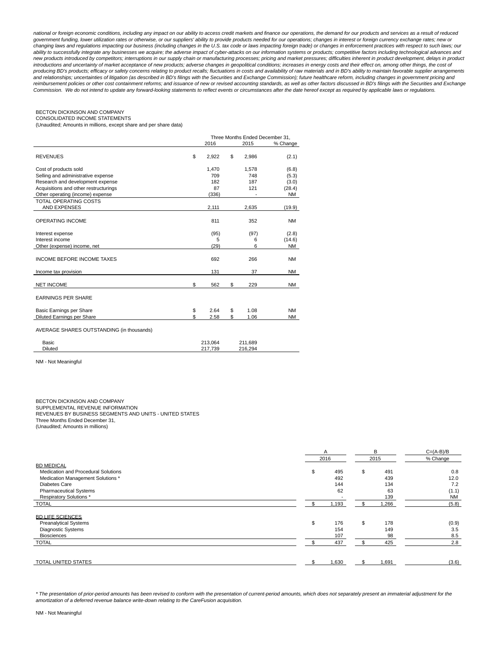national or foreign economic conditions, including any impact on our ability to access credit markets and finance our operations, the demand for our products and services as a result of reduced government funding, lower utilization rates or otherwise, or our suppliers' ability to provide products needed for our operations; changes in interest or foreign currency exchange rates; new or changing laws and regulations impacting our business (including changes in the U.S. tax code or laws impacting foreign trade) or changes in enforcement practices with respect to such laws; our ability to successfully integrate any businesses we acquire; the adverse impact of cyber-attacks on our information systems or products; competitive factors including technological advances and new products introduced by competitors; interruptions in our supply chain or manufacturing processes; pricing and market pressures; difficulties inherent in product development, delays in product introductions and uncertainty of market acceptance of new products; adverse changes in geopolitical conditions; increases in energy costs and their effect on, among other things, the cost of producing BD's products; efficacy or safety concerns relating to product recalls; fluctuations in costs and availability of raw materials and in BD's ability to maintain favorable supplier arrangements and relationships; uncertainties of litigation (as described in BD's filings with the Securities and Exchange Commission); future healthcare reform, including changes in government pricing and reimbursement policies or other cost containment reforms; and issuance of new or revised accounting standards, as well as other factors discussed in BD's filings with the Securities and Exchange Commission. We do not intend to update any forward-looking statements to reflect events or circumstances after the date hereof except as required by applicable laws or regulations.

# BECTON DICKINSON AND COMPANY

CONSOLIDATED INCOME STATEMENTS

(Unaudited; Amounts in millions, except share and per share data)

|                                           |                    | Three Months Ended December 31. |           |
|-------------------------------------------|--------------------|---------------------------------|-----------|
|                                           | 2016               | 2015                            | % Change  |
| <b>REVENUES</b>                           | \$<br>2,922        | \$<br>2,986                     | (2.1)     |
| Cost of products sold                     | 1,470              | 1,578                           | (6.8)     |
| Selling and administrative expense        | 709                | 748                             | (5.3)     |
| Research and development expense          | 182                | 187                             | (3.0)     |
| Acquisitions and other restructurings     | 87                 | 121                             | (28.4)    |
| Other operating (income) expense          | (336)              |                                 | ΝM        |
| <b>TOTAL OPERATING COSTS</b>              |                    |                                 |           |
| AND EXPENSES                              | 2,111              | 2,635                           | (19.9)    |
| <b>OPERATING INCOME</b>                   | 811                | 352                             | <b>NM</b> |
| Interest expense                          | (95)               | (97)                            | (2.8)     |
| Interest income                           | 5                  | 6                               | (14.6)    |
| Other (expense) income, net               | (29)               | 6                               | <b>NM</b> |
| <b>INCOME BEFORE INCOME TAXES</b>         | 692                | 266                             | <b>NM</b> |
| Income tax provision                      | 131                | 37                              | <b>NM</b> |
| <b>NET INCOME</b>                         | \$<br>562          | \$<br>229                       | <b>NM</b> |
| <b>EARNINGS PER SHARE</b>                 |                    |                                 |           |
| Basic Earnings per Share                  | \$<br>2.64         | \$<br>1.08                      | <b>NM</b> |
| Diluted Earnings per Share                | \$<br>2.58         | \$<br>1.06                      | <b>NM</b> |
| AVERAGE SHARES OUTSTANDING (in thousands) |                    |                                 |           |
| Basic<br><b>Diluted</b>                   | 213,064<br>217.739 | 211,689<br>216,294              |           |
|                                           |                    |                                 |           |

NM - Not Meaningful

BECTON DICKINSON AND COMPANY

SUPPLEMENTAL REVENUE INFORMATION REVENUES BY BUSINESS SEGMENTS AND UNITS - UNITED STATES

Three Months Ended December 31,

(Unaudited; Amounts in millions)

|                                     |           | B         | $C = (A-B)/B$ |  |
|-------------------------------------|-----------|-----------|---------------|--|
|                                     | 2016      | 2015      | % Change      |  |
| <b>BD MEDICAL</b>                   |           |           |               |  |
| Medication and Procedural Solutions | \$<br>495 | \$<br>491 | 0.8           |  |
| Medication Management Solutions *   | 492       | 439       | 12.0          |  |
| Diabetes Care                       | 144       | 134       | 7.2           |  |
| <b>Pharmaceutical Systems</b>       | 62        | 63        | (1.1)         |  |
| Respiratory Solutions *             |           | 139       | <b>NM</b>     |  |
| <b>TOTAL</b>                        | 1,193     | 1,266     | (5.8)         |  |
| <b>BD LIFE SCIENCES</b>             |           |           |               |  |
| <b>Preanalytical Systems</b>        | \$<br>176 | \$<br>178 | (0.9)         |  |
| Diagnostic Systems                  | 154       | 149       | 3.5           |  |
| <b>Biosciences</b>                  | 107       | 98        | 8.5           |  |
| <b>TOTAL</b>                        | 437       | 425       | 2.8           |  |
|                                     |           |           |               |  |
| TOTAL UNITED STATES                 | 1,630     | 1,691     | (3.6)         |  |

\* The presentation of prior-period amounts has been revised to conform with the presentation of current-period amounts, which does not separately present an immaterial adjustment for the amortization of a deferred revenue balance write-down relating to the CareFusion acquisition.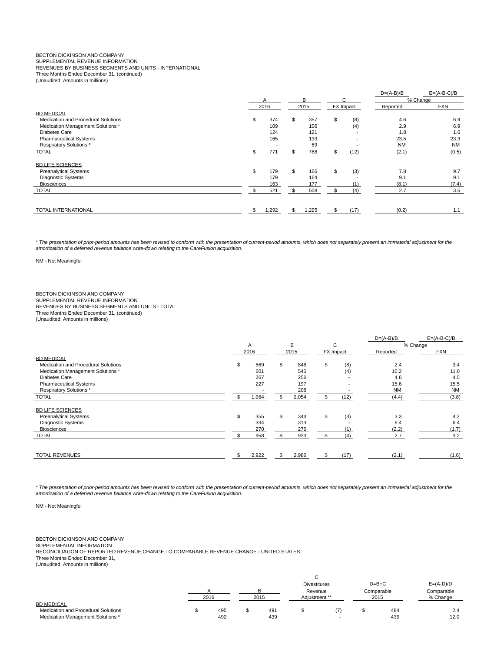# BECTON DICKINSON AND COMPANY

SUPPLEMENTAL REVENUE INFORMATION REVENUES BY BUSINESS SEGMENTS AND UNITS - INTERNATIONAL

Three Months Ended December 31, (continued)

(Unaudited; Amounts in millions)

|             |      |       |             |                          | $D=(A-B)/B$     | $E=(A-B-C)/B$       |
|-------------|------|-------|-------------|--------------------------|-----------------|---------------------|
| A           |      | B     |             |                          |                 | % Change            |
|             |      |       | FX Impact   |                          | Reported        | <b>FXN</b>          |
|             |      |       |             |                          |                 |                     |
| \$<br>374   | \$   | 357   | \$          |                          | 4.6             | 6.9                 |
| 109         |      | 106   |             | (4)                      | 2.9             | 6.9                 |
| 124         |      | 121   |             | $\overline{\phantom{a}}$ | 1.8             | 1.6                 |
| 165         |      | 133   |             | $\overline{\phantom{a}}$ | 23.5            | 23.3                |
|             |      | 69    |             |                          | <b>NM</b>       | NM                  |
| \$<br>771   | \$   | 788   | \$          | (12)                     | (2.1)           | (0.5)               |
|             |      |       |             |                          |                 |                     |
| 179         | \$   |       | \$          |                          |                 | 9.7                 |
| 179         |      | 164   |             |                          |                 | 9.1                 |
| 163         |      | 177   |             | (1)                      |                 | (7.4)               |
| 521         |      | 508   |             | (4)                      | 2.7             | 3.5                 |
| \$<br>1,292 | \$   | 1,295 |             | (17)                     | (0.2)           | 1.1                 |
| \$          | 2016 |       | 2015<br>166 |                          | C<br>(8)<br>(3) | 7.8<br>9.1<br>(8.1) |

\* The presentation of prior-period amounts has been revised to conform with the presentation of current-period amounts, which does not separately present an immaterial adjustment for the amortization of a deferred revenue balance write-down relating to the CareFusion acquisition.

NM - Not Meaningful

BECTON DICKINSON AND COMPANY SUPPLEMENTAL REVENUE INFORMATION REVENUES BY BUSINESS SEGMENTS AND UNITS - TOTAL Three Months Ended December 31, (continued) (Unaudited; Amounts in millions)

|                                     |             |    |       |           |      | $D=(A-B)/B$ | $E=(A-B-C)/B$ |
|-------------------------------------|-------------|----|-------|-----------|------|-------------|---------------|
|                                     | A           |    | В     |           | С    |             | % Change      |
|                                     | 2016        |    | 2015  | FX Impact |      | Reported    | <b>FXN</b>    |
| <b>BD MEDICAL</b>                   |             |    |       |           |      |             |               |
| Medication and Procedural Solutions | \$<br>869   | \$ | 848   | \$        | (8)  | 2.4         | 3.4           |
| Medication Management Solutions *   | 601         |    | 545   |           | (4)  | 10.2        | 11.0          |
| Diabetes Care                       | 267         |    | 256   |           |      | 4.6         | 4.5           |
| <b>Pharmaceutical Systems</b>       | 227         |    | 197   |           |      | 15.6        | 15.5          |
| Respiratory Solutions *             |             |    | 208   |           |      | <b>NM</b>   | <b>NM</b>     |
| <b>TOTAL</b>                        | 1,964       |    | 2,054 |           | (12) | (4.4)       | (3.8)         |
| <b>BD LIFE SCIENCES</b>             |             |    |       |           |      |             |               |
| <b>Preanalytical Systems</b>        | \$<br>355   | \$ | 344   | \$        | (3)  | 3.3         | 4.2           |
| Diagnostic Systems                  | 334         |    | 313   |           |      | 6.4         | 6.4           |
| <b>Biosciences</b>                  | 270         |    | 276   |           | (1)  | (2.2)       | (1.7)         |
| <b>TOTAL</b>                        | 958         |    | 933   |           | (4)  | 2.7         | 3.2           |
| <b>TOTAL REVENUES</b>               | \$<br>2,922 | £. | 2,986 |           | (17) | (2.1)       | (1.6)         |

\* The presentation of prior-period amounts has been revised to conform with the presentation of current-period amounts, which does not separately present an immaterial adjustment for the amortization of a deferred revenue balance write-down relating to the CareFusion acquisition.

NM - Not Meaningful

BECTON DICKINSON AND COMPANY

SUPPLEMENTAL INFORMATION

RECONCILIATION OF REPORTED REVENUE CHANGE TO COMPARABLE REVENUE CHANGE - UNITED STATES Three Months Ended December 31,

(Unaudited; Amounts in millions)

|                                     |      |      | <b>Divestitures</b> |  | $D=B+C$    | $E=(A-D)/D$ |
|-------------------------------------|------|------|---------------------|--|------------|-------------|
|                                     |      |      | Revenue             |  | Comparable | Comparable  |
|                                     | 2016 | 2015 | Adiustment **       |  | 2015       | % Change    |
| <b>BD MEDICAL</b>                   |      |      |                     |  |            |             |
| Medication and Procedural Solutions | 495  | 491  |                     |  | 484        | 2.4         |
| Medication Management Solutions *   | 492  | 439  |                     |  | 439        | 12.0        |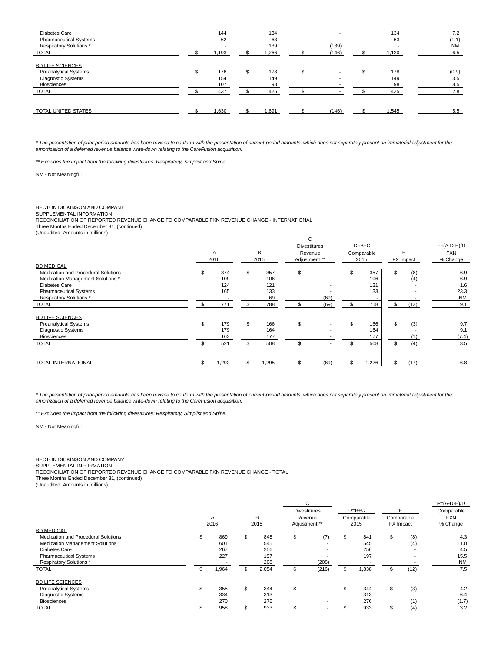| Diabetes Care<br><b>Pharmaceutical Systems</b><br><b>Respiratory Solutions*</b>                            | 144<br>62<br>-          | 134<br>63<br>139       | (139)                    | 134<br>63        | 7.2<br>(1.1)<br><b>NM</b> |
|------------------------------------------------------------------------------------------------------------|-------------------------|------------------------|--------------------------|------------------|---------------------------|
| <b>TOTAL</b>                                                                                               | 1,193                   | ,266                   | (146)                    | 1,120            | 6.5                       |
| <b>BD LIFE SCIENCES</b><br><b>Preanalytical Systems</b><br><b>Diagnostic Systems</b><br><b>Biosciences</b> | \$<br>176<br>154<br>107 | \$<br>178<br>149<br>98 | $\overline{\phantom{0}}$ | 178<br>149<br>98 | (0.9)<br>3.5<br>8.5       |
| <b>TOTAL</b>                                                                                               | 437                     | 425                    |                          | 425              | 2.8                       |
| TOTAL UNITED STATES                                                                                        | 1,630                   | 1,691                  | (146)                    | 1,545            | 5.5                       |

\* The presentation of prior-period amounts has been revised to conform with the presentation of current-period amounts, which does not separately present an immaterial adjustment for the<br>amortization of a deferred revenue

\*\* Excludes the impact from the following divestitures: Respiratory, Simplist and Spine.

NM - Not Meaningful

#### BECTON DICKINSON AND COMPANY SUPPLEMENTAL INFORMATION

RECONCILIATION OF REPORTED REVENUE CHANGE TO COMPARABLE FXN REVENUE CHANGE - INTERNATIONAL

Three Months Ended December 31, (continued)

(Unaudited; Amounts in millions)

| (Original Co., Arrivanto in Timmorio) |    |      |     |      | C.                  |      |         |         |            |           |               |  |            |  |
|---------------------------------------|----|------|-----|------|---------------------|------|---------|---------|------------|-----------|---------------|--|------------|--|
|                                       |    |      |     |      | <b>Divestitures</b> |      |         | $D=B+C$ |            |           | $F=(A-D-E)/D$ |  |            |  |
|                                       |    |      |     |      |                     | B    | Revenue |         | Comparable |           |               |  | <b>FXN</b> |  |
|                                       |    | 2016 |     | 2015 | Adjustment **       |      |         | 2015    |            | FX Impact | % Change      |  |            |  |
| <b>BD MEDICAL</b>                     |    |      |     |      |                     |      |         |         |            |           |               |  |            |  |
| Medication and Procedural Solutions   | \$ | 374  | \$  | 357  | \$                  |      | \$      | 357     | \$         | (8)       | 6.9           |  |            |  |
| Medication Management Solutions *     |    | 109  |     | 106  |                     |      |         | 106     |            | (4)       | 6.9           |  |            |  |
| Diabetes Care                         |    | 124  |     | 121  |                     |      |         | 121     |            |           | 1.6           |  |            |  |
| <b>Pharmaceutical Systems</b>         |    | 165  |     | 133  |                     |      |         | 133     |            |           | 23.3          |  |            |  |
| Respiratory Solutions *               |    |      |     | 69   |                     | (69) |         |         |            |           | <b>NM</b>     |  |            |  |
| <b>TOTAL</b>                          |    | 771  |     | 788  |                     | (69) | \$      | 718     | \$         | (12)      | 9.1           |  |            |  |
| <b>BD LIFE SCIENCES</b>               |    |      |     |      |                     |      |         |         |            |           |               |  |            |  |
| <b>Preanalytical Systems</b>          | \$ | 179  | \$  | 166  | \$                  |      | \$      | 166     | \$         | (3)       | 9.7           |  |            |  |
| Diagnostic Systems                    |    | 179  |     | 164  |                     |      |         | 164     |            |           | 9.1           |  |            |  |
| <b>Biosciences</b>                    |    | 163  |     | 177  |                     |      |         | 177     |            |           | (7.4)         |  |            |  |
| <b>TOTAL</b>                          |    | 521  |     | 508  |                     |      |         | 508     | \$         | (4)       | 3.5           |  |            |  |
| <b>TOTAL INTERNATIONAL</b>            |    | ,292 | \$. | ,295 | \$                  | (69) | \$      | 1,226   | \$         | (17)      | 6.8           |  |            |  |
|                                       |    |      |     |      |                     |      |         |         |            |           |               |  |            |  |

\* The presentation of prior-period amounts has been revised to conform with the presentation of current-period amounts, which does not separately present an immaterial adjustment for the amortization of a deferred revenue balance write-down relating to the CareFusion acquisition.

\*\* Excludes the impact from the following divestitures: Respiratory, Simplist and Spine.

NM - Not Meaningful

## BECTON DICKINSON AND COMPANY

SUPPLEMENTAL INFORMATION

RECONCILIATION OF REPORTED REVENUE CHANGE TO COMPARABLE FXN REVENUE CHANGE - TOTAL

Three Months Ended December 31, (continued)

(Unaudited; Amounts in millions)

|                                     |    |       |           | C.                       |         |            |           |            | $F=(A-D-E)/D$ |  |
|-------------------------------------|----|-------|-----------|--------------------------|---------|------------|-----------|------------|---------------|--|
|                                     |    |       |           | <b>Divestitures</b>      | $D=B+C$ |            |           |            | Comparable    |  |
|                                     |    | A     | В         | Revenue                  |         | Comparable |           | Comparable | <b>FXN</b>    |  |
|                                     |    | 2016  | 2015      | Adjustment **            |         | 2015       | FX Impact |            | % Change      |  |
| <b>BD MEDICAL</b>                   |    |       |           |                          |         |            |           |            |               |  |
| Medication and Procedural Solutions | S  | 869   | \$<br>848 | \$<br>(7)                | \$      | 841        | \$        | (8)        | 4.3           |  |
| Medication Management Solutions *   |    | 601   | 545       | $\overline{\phantom{0}}$ |         | 545        |           | (4)        | 11.0          |  |
| Diabetes Care                       |    | 267   | 256       | $\overline{\phantom{0}}$ |         | 256        |           |            | 4.5           |  |
| <b>Pharmaceutical Systems</b>       |    | 227   | 197       |                          |         | 197        |           | -          | 15.5          |  |
| Respiratory Solutions *             |    |       | 208       | (208)                    |         |            |           |            | <b>NM</b>     |  |
| <b>TOTAL</b>                        |    | 1,964 | 2,054     | (216)                    |         | 1,838      |           | (12)       | 7.5           |  |
| <b>BD LIFE SCIENCES</b>             |    |       |           |                          |         |            |           |            |               |  |
| <b>Preanalytical Systems</b>        | \$ | 355   | \$<br>344 | \$                       |         | 344        |           | (3)        | 4.2           |  |
| <b>Diagnostic Systems</b>           |    | 334   | 313       |                          |         | 313        |           |            | 6.4           |  |
| <b>Biosciences</b>                  |    | 270   | 276       |                          |         | 276        |           |            | (1.7)         |  |
| <b>TOTAL</b>                        |    | 958   | 933       |                          |         | 933        |           | (4)        | 3.2           |  |
|                                     |    |       |           |                          |         |            |           |            |               |  |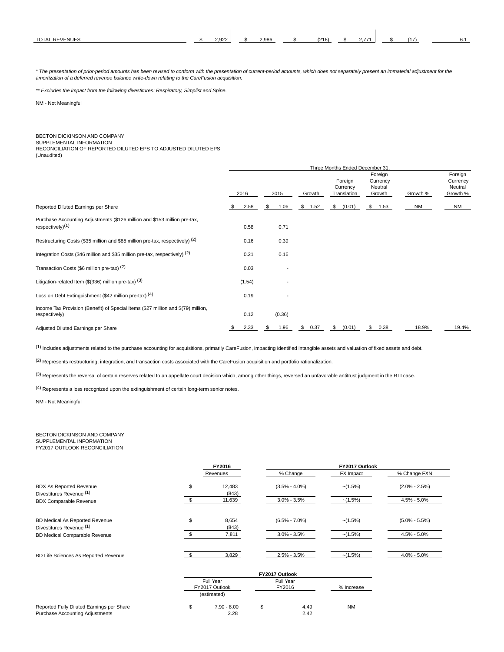| <b>TOTAL</b><br>∕ENUES<br><b>RF</b> | ാ റാറ<br>L.JLL | 2,986 | (216) | $\rightarrow$<br>$\sim$ , $\prime$ $\prime$ . | . . – |  |
|-------------------------------------|----------------|-------|-------|-----------------------------------------------|-------|--|

\* The presentation of prior-period amounts has been revised to conform with the presentation of current-period amounts, which does not separately present an immaterial adjustment for the amortization of a deferred revenue balance write-down relating to the CareFusion acquisition.

\*\* Excludes the impact from the following divestitures: Respiratory, Simplist and Spine.

NM - Not Meaningful

# BECTON DICKINSON AND COMPANY

SUPPLEMENTAL INFORMATION RECONCILIATION OF REPORTED DILUTED EPS TO ADJUSTED DILUTED EPS

(Unaudited)

|                                                                                                           |    |        |    |        |            | Three Months Ended December 31.    |    |                                          |  |           |                                            |
|-----------------------------------------------------------------------------------------------------------|----|--------|----|--------|------------|------------------------------------|----|------------------------------------------|--|-----------|--------------------------------------------|
|                                                                                                           |    | 2016   |    | 2015   | Growth     | Foreign<br>Currency<br>Translation |    | Foreign<br>Currency<br>Neutral<br>Growth |  | Growth %  | Foreign<br>Currency<br>Neutral<br>Growth % |
| Reported Diluted Earnings per Share                                                                       | \$ | 2.58   | \$ | 1.06   | \$<br>1.52 | \$<br>(0.01)                       |    | \$ 1.53                                  |  | <b>NM</b> | <b>NM</b>                                  |
| Purchase Accounting Adjustments (\$126 million and \$153 million pre-tax,<br>respectively) <sup>(1)</sup> |    | 0.58   |    | 0.71   |            |                                    |    |                                          |  |           |                                            |
| Restructuring Costs (\$35 million and \$85 million pre-tax, respectively) (2)                             |    | 0.16   |    | 0.39   |            |                                    |    |                                          |  |           |                                            |
| Integration Costs (\$46 million and \$35 million pre-tax, respectively) (2)                               |    | 0.21   |    | 0.16   |            |                                    |    |                                          |  |           |                                            |
| Transaction Costs (\$6 million pre-tax) (2)                                                               |    | 0.03   |    |        |            |                                    |    |                                          |  |           |                                            |
| Litigation-related Item ( $$(336)$ million pre-tax) $^{(3)}$                                              |    | (1.54) |    |        |            |                                    |    |                                          |  |           |                                            |
| Loss on Debt Extinguishment (\$42 million pre-tax) (4)                                                    |    | 0.19   |    |        |            |                                    |    |                                          |  |           |                                            |
| Income Tax Provision (Benefit) of Special Items (\$27 million and \$(79) million,<br>respectively)        |    | 0.12   |    | (0.36) |            |                                    |    |                                          |  |           |                                            |
| Adjusted Diluted Earnings per Share                                                                       |    | 2.33   |    | 1.96   | \$<br>0.37 | \$<br>(0.01)                       | \$ | 0.38                                     |  | 18.9%     | 19.4%                                      |

(1) Includes adjustments related to the purchase accounting for acquisitions, primarily CareFusion, impacting identified intangible assets and valuation of fixed assets and debt.

(2) Represents restructuring, integration, and transaction costs associated with the CareFusion acquisition and portfolio rationalization.

(3) Represents the reversal of certain reserves related to an appellate court decision which, among other things, reversed an unfavorable antitrust judgment in the RTI case.

(4) Represents a loss recognized upon the extinguishment of certain long-term senior notes.

NM - Not Meaningful

BECTON DICKINSON AND COMPANY SUPPLEMENTAL INFORMATION FY2017 OUTLOOK RECONCILIATION

|                                                                                     | FY2016                                     |                |                     | FY2017 Outlook |                   |
|-------------------------------------------------------------------------------------|--------------------------------------------|----------------|---------------------|----------------|-------------------|
|                                                                                     | Revenues                                   |                | % Change            | FX Impact      | % Change FXN      |
| <b>BDX As Reported Revenue</b><br>Divestitures Revenue (1)                          | \$<br>12,483<br>(843)                      |                | $(3.5\% - 4.0\%)$   | $-(1.5%)$      | $(2.0\% - 2.5\%)$ |
| <b>BDX Comparable Revenue</b>                                                       | 11,639                                     |                | $3.0\% - 3.5\%$     | $-(1.5%)$      | $4.5\% - 5.0\%$   |
| BD Medical As Reported Revenue<br>Divestitures Revenue (1)                          | \$<br>8,654<br>(843)                       |                | $(6.5\% - 7.0\%)$   | $-(1.5%)$      | $(5.0\% - 5.5\%)$ |
| BD Medical Comparable Revenue                                                       | 7,811                                      |                | $3.0\% - 3.5\%$     | $-(1.5%)$      | $4.5\% - 5.0\%$   |
| BD Life Sciences As Reported Revenue                                                | 3,829                                      |                | $2.5\% - 3.5\%$     | $-(1.5%)$      | $4.0\% - 5.0\%$   |
|                                                                                     |                                            | FY2017 Outlook |                     |                |                   |
|                                                                                     | Full Year<br>FY2017 Outlook<br>(estimated) |                | Full Year<br>FY2016 | % Increase     |                   |
| Reported Fully Diluted Earnings per Share<br><b>Purchase Accounting Adjustments</b> | \$<br>$7.90 - 8.00$<br>2.28                | \$             | 4.49<br>2.42        | <b>NM</b>      |                   |